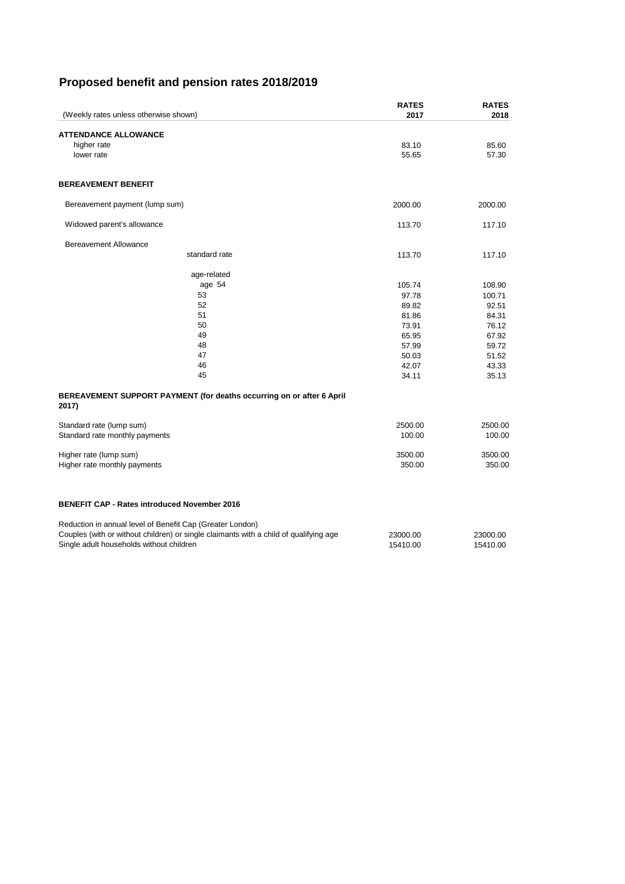# **Proposed benefit and pension rates 2018/2019**

Reduction in annual level of Benefit Cap (Greater London) Couples (with or without children) or single claimants with a child of qualifying age 23000.00 23000.00 Single adult households without children 15410.00 15410.00 15410.00 15410.00

| (Weekly rates unless otherwise shown)                                          | <b>RATES</b><br>2017 | <b>RATES</b><br>2018 |
|--------------------------------------------------------------------------------|----------------------|----------------------|
|                                                                                |                      |                      |
| <b>ATTENDANCE ALLOWANCE</b>                                                    |                      |                      |
| higher rate                                                                    | 83.10                | 85.60                |
| lower rate                                                                     | 55.65                | 57.30                |
| <b>BEREAVEMENT BENEFIT</b>                                                     |                      |                      |
| Bereavement payment (lump sum)                                                 | 2000.00              | 2000.00              |
| Widowed parent's allowance                                                     | 113.70               | 117.10               |
| <b>Bereavement Allowance</b>                                                   |                      |                      |
| standard rate                                                                  | 113.70               | 117.10               |
| age-related                                                                    |                      |                      |
| age 54                                                                         | 105.74               | 108.90               |
| 53                                                                             | 97.78                | 100.71               |
| 52                                                                             | 89.82                | 92.51                |
| 51                                                                             | 81.86                | 84.31                |
| 50                                                                             | 73.91                | 76.12                |
| 49                                                                             | 65.95                | 67.92                |
| 48<br>47                                                                       | 57.99                | 59.72                |
| 46                                                                             | 50.03<br>42.07       | 51.52<br>43.33       |
| 45                                                                             | 34.11                | 35.13                |
| BEREAVEMENT SUPPORT PAYMENT (for deaths occurring on or after 6 April<br>2017) |                      |                      |
| Standard rate (lump sum)                                                       | 2500.00              | 2500.00              |
| Standard rate monthly payments                                                 | 100.00               | 100.00               |
| Higher rate (lump sum)                                                         | 3500.00              | 3500.00              |
| Higher rate monthly payments                                                   | 350.00               | 350.00               |
|                                                                                |                      |                      |
| <b>BENEFIT CAP - Rates introduced November 2016</b>                            |                      |                      |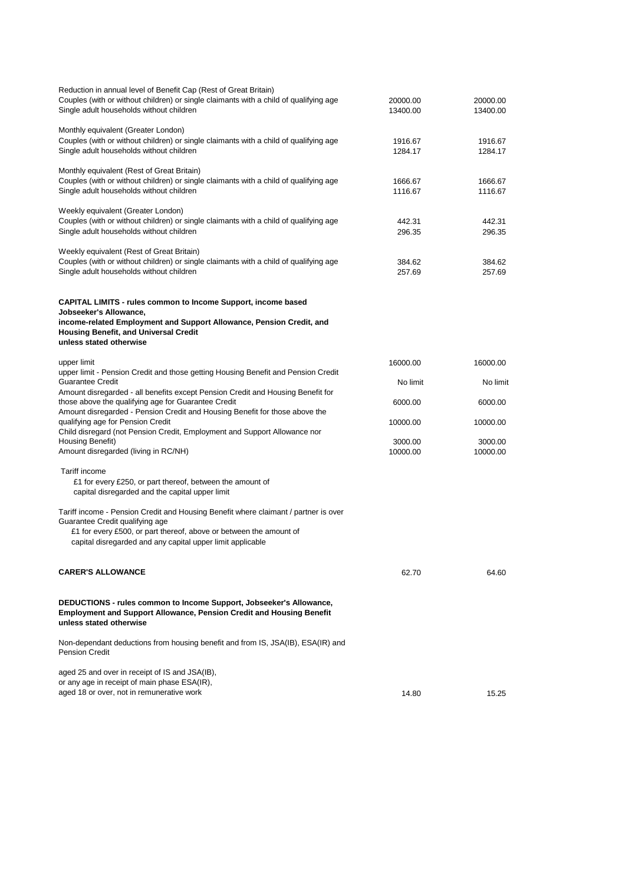| aged 25 and over in receipt of IS and JSA(IB),                                                                                                                                                                                                             |                      |                      |
|------------------------------------------------------------------------------------------------------------------------------------------------------------------------------------------------------------------------------------------------------------|----------------------|----------------------|
| Non-dependant deductions from housing benefit and from IS, JSA(IB), ESA(IR) and<br><b>Pension Credit</b>                                                                                                                                                   |                      |                      |
| DEDUCTIONS - rules common to Income Support, Jobseeker's Allowance,<br><b>Employment and Support Allowance, Pension Credit and Housing Benefit</b><br>unless stated otherwise                                                                              |                      |                      |
| <b>CARER'S ALLOWANCE</b>                                                                                                                                                                                                                                   | 62.70                | 64.60                |
| Tariff income - Pension Credit and Housing Benefit where claimant / partner is over<br>Guarantee Credit qualifying age<br>£1 for every £500, or part thereof, above or between the amount of<br>capital disregarded and any capital upper limit applicable |                      |                      |
| Tariff income<br>£1 for every £250, or part thereof, between the amount of<br>capital disregarded and the capital upper limit                                                                                                                              |                      |                      |
| Amount disregarded (living in RC/NH)                                                                                                                                                                                                                       | 10000.00             | 10000.00             |
| qualifying age for Pension Credit<br>Child disregard (not Pension Credit, Employment and Support Allowance nor<br>Housing Benefit)                                                                                                                         | 10000.00<br>3000.00  | 10000.00<br>3000.00  |
| Amount disregarded - all benefits except Pension Credit and Housing Benefit for<br>those above the qualifying age for Guarantee Credit<br>Amount disregarded - Pension Credit and Housing Benefit for those above the                                      | 6000.00              | 6000.00              |
| upper limit - Pension Credit and those getting Housing Benefit and Pension Credit<br><b>Guarantee Credit</b>                                                                                                                                               | No limit             | No limit             |
| upper limit                                                                                                                                                                                                                                                | 16000.00             | 16000.00             |
| <b>CAPITAL LIMITS - rules common to Income Support, income based</b><br>Jobseeker's Allowance,<br>income-related Employment and Support Allowance, Pension Credit, and<br><b>Housing Benefit, and Universal Credit</b><br>unless stated otherwise          |                      |                      |
| Weekly equivalent (Rest of Great Britain)<br>Couples (with or without children) or single claimants with a child of qualifying age<br>Single adult households without children                                                                             | 384.62<br>257.69     | 384.62<br>257.69     |
| Weekly equivalent (Greater London)<br>Couples (with or without children) or single claimants with a child of qualifying age<br>Single adult households without children                                                                                    | 442.31<br>296.35     | 442.31<br>296.35     |
| Monthly equivalent (Rest of Great Britain)<br>Couples (with or without children) or single claimants with a child of qualifying age<br>Single adult households without children                                                                            | 1666.67<br>1116.67   | 1666.67<br>1116.67   |
| Monthly equivalent (Greater London)<br>Couples (with or without children) or single claimants with a child of qualifying age<br>Single adult households without children                                                                                   | 1916.67<br>1284.17   | 1916.67<br>1284.17   |
| Reduction in annual level of Benefit Cap (Rest of Great Britain)<br>Couples (with or without children) or single claimants with a child of qualifying age<br>Single adult households without children                                                      | 20000.00<br>13400.00 | 20000.00<br>13400.00 |

or any age in receipt of main phase ESA(IR),

aged 18 or over, not in remunerative work and the state of the state of the state of the 15.25 and 14.80 15.25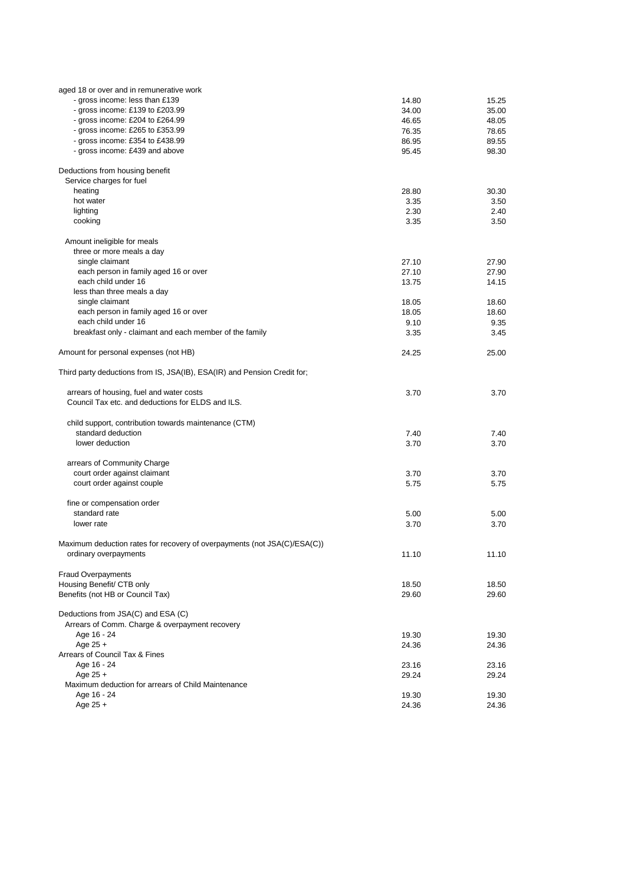| aged 18 or over and in remunerative work                                 |       |       |
|--------------------------------------------------------------------------|-------|-------|
| - gross income: less than £139                                           | 14.80 | 15.25 |
| - gross income: £139 to £203.99                                          | 34.00 | 35.00 |
| - gross income: £204 to £264.99                                          | 46.65 | 48.05 |
| - gross income: £265 to £353.99                                          | 76.35 | 78.65 |
| - gross income: £354 to £438.99                                          | 86.95 | 89.55 |
| - gross income: £439 and above                                           | 95.45 | 98.30 |
| Deductions from housing benefit                                          |       |       |
| Service charges for fuel                                                 |       |       |
| heating                                                                  | 28.80 | 30.30 |
| hot water                                                                | 3.35  | 3.50  |
| lighting                                                                 | 2.30  | 2.40  |
| cooking                                                                  | 3.35  | 3.50  |
| Amount ineligible for meals                                              |       |       |
| three or more meals a day                                                |       |       |
| single claimant                                                          | 27.10 | 27.90 |
| each person in family aged 16 or over                                    | 27.10 | 27.90 |
| each child under 16                                                      | 13.75 | 14.15 |
| less than three meals a day                                              |       |       |
| single claimant                                                          | 18.05 | 18.60 |
| each person in family aged 16 or over                                    | 18.05 | 18.60 |
| each child under 16                                                      | 9.10  | 9.35  |
| breakfast only - claimant and each member of the family                  |       |       |
|                                                                          | 3.35  | 3.45  |
| Amount for personal expenses (not HB)                                    | 24.25 | 25.00 |
| Third party deductions from IS, JSA(IB), ESA(IR) and Pension Credit for; |       |       |
| arrears of housing, fuel and water costs                                 | 3.70  | 3.70  |
| Council Tax etc. and deductions for ELDS and ILS.                        |       |       |
| child support, contribution towards maintenance (CTM)                    |       |       |
| standard deduction                                                       |       |       |
| lower deduction                                                          | 7.40  | 7.40  |
|                                                                          | 3.70  | 3.70  |
| arrears of Community Charge                                              |       |       |
| court order against claimant                                             | 3.70  | 3.70  |
| court order against couple                                               | 5.75  | 5.75  |
|                                                                          |       |       |
| fine or compensation order                                               |       |       |
| standard rate                                                            | 5.00  | 5.00  |
| lower rate                                                               | 3.70  | 3.70  |
| Maximum deduction rates for recovery of overpayments (not JSA(C)/ESA(C)) |       |       |
| ordinary overpayments                                                    | 11.10 | 11.10 |
| <b>Fraud Overpayments</b>                                                |       |       |
| Housing Benefit/ CTB only                                                | 18.50 | 18.50 |
| Benefits (not HB or Council Tax)                                         | 29.60 | 29.60 |
| Deductions from JSA(C) and ESA (C)                                       |       |       |
| Arrears of Comm. Charge & overpayment recovery                           |       |       |
| Age 16 - 24                                                              | 19.30 | 19.30 |
| Age 25 +                                                                 | 24.36 | 24.36 |
| Arrears of Council Tax & Fines                                           |       |       |
|                                                                          |       |       |
| Age 16 - 24                                                              | 23.16 | 23.16 |
| Age $25 +$<br>Maximum deduction for arrears of Child Maintenance         | 29.24 | 29.24 |
| Age 16 - 24                                                              |       |       |
|                                                                          | 19.30 | 19.30 |

Age 25 + 24.36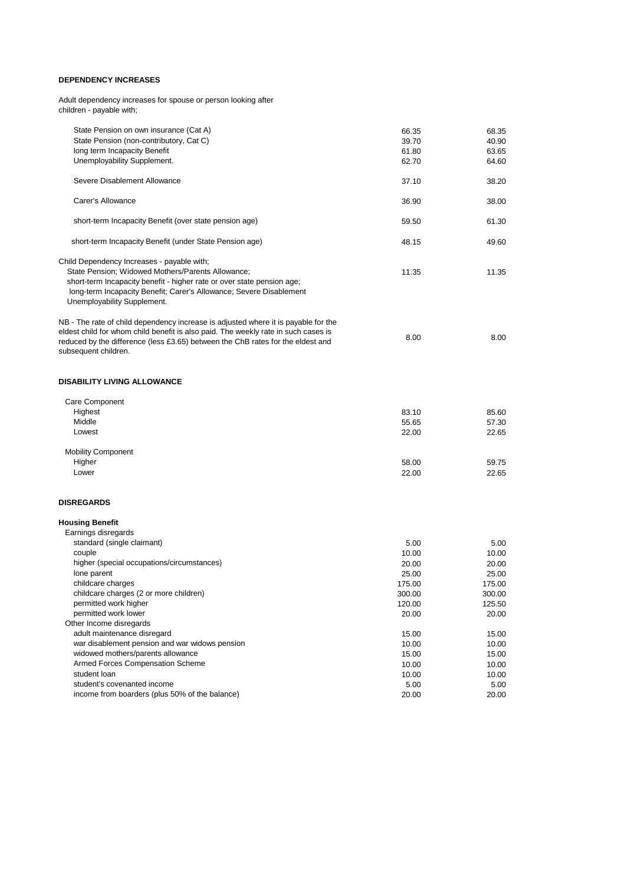#### **DEPENDENCY INCREASES**

Adult dependency increases for spouse or person looking after children - payable with;

| State Pension on own insurance (Cat A)                                             | 66.35  | 68.35  |
|------------------------------------------------------------------------------------|--------|--------|
| State Pension (non-contributory, Cat C)                                            | 39.70  | 40.90  |
| long term Incapacity Benefit                                                       | 61.80  | 63.65  |
| Unemployability Supplement.                                                        | 62.70  | 64.60  |
| Severe Disablement Allowance                                                       | 37.10  | 38.20  |
| Carer's Allowance                                                                  | 36.90  | 38.00  |
| short-term Incapacity Benefit (over state pension age)                             | 59.50  | 61.30  |
| short-term Incapacity Benefit (under State Pension age)                            | 48.15  | 49.60  |
| Child Dependency Increases - payable with;                                         |        |        |
| State Pension; Widowed Mothers/Parents Allowance;                                  | 11.35  | 11.35  |
| short-term Incapacity benefit - higher rate or over state pension age;             |        |        |
| long-term Incapacity Benefit; Carer's Allowance; Severe Disablement                |        |        |
| Unemployability Supplement.                                                        |        |        |
| NB - The rate of child dependency increase is adjusted where it is payable for the |        |        |
| eldest child for whom child benefit is also paid. The weekly rate in such cases is |        |        |
| reduced by the difference (less £3.65) between the ChB rates for the eldest and    | 8.00   | 8.00   |
| subsequent children.                                                               |        |        |
|                                                                                    |        |        |
| <b>DISABILITY LIVING ALLOWANCE</b>                                                 |        |        |
| Care Component                                                                     |        |        |
| Highest                                                                            | 83.10  | 85.60  |
| Middle                                                                             | 55.65  | 57.30  |
| Lowest                                                                             | 22.00  | 22.65  |
| <b>Mobility Component</b>                                                          |        |        |
| Higher                                                                             | 58.00  | 59.75  |
| Lower                                                                              | 22.00  | 22.65  |
| <b>DISREGARDS</b>                                                                  |        |        |
|                                                                                    |        |        |
| <b>Housing Benefit</b>                                                             |        |        |
| Earnings disregards                                                                |        |        |
| standard (single claimant)                                                         | 5.00   | 5.00   |
| couple                                                                             | 10.00  | 10.00  |
| higher (special occupations/circumstances)                                         | 20.00  | 20.00  |
| lone parent                                                                        | 25.00  | 25.00  |
| childcare charges                                                                  | 175.00 | 175.00 |
| childcare charges (2 or more children)                                             | 300.00 | 300.00 |
| permitted work higher                                                              | 120.00 | 125.50 |
| permitted work lower                                                               | 20.00  | 20.00  |
| Other Income disregards                                                            |        |        |
| adult maintenance disregard                                                        | 15.00  | 15.00  |
| war disablement pension and war widows pension                                     | 10.00  | 10.00  |
| widowed mothers/parents allowance                                                  | 15.00  | 15.00  |
| Armed Forces Compensation Scheme                                                   | 10.00  | 10.00  |
| student loan                                                                       | 10.00  | 10.00  |
| student's covenanted income                                                        | 5.00   | 5.00   |
| income from boarders (plus 50% of the balance)                                     | 20.00  | 20.00  |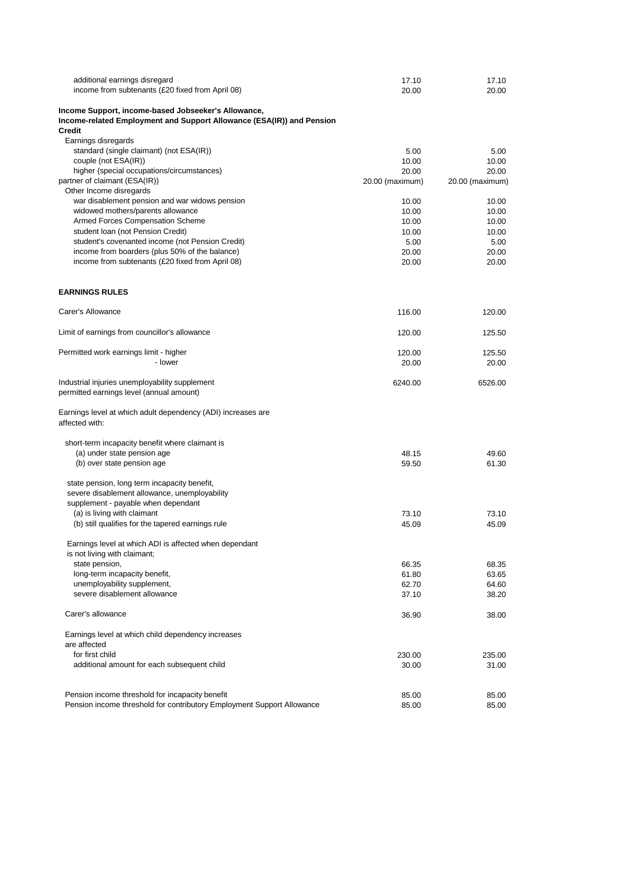| additional earnings disregard                                         | 17.10           | 17.10           |
|-----------------------------------------------------------------------|-----------------|-----------------|
| income from subtenants (£20 fixed from April 08)                      | 20.00           | 20.00           |
| Income Support, income-based Jobseeker's Allowance,                   |                 |                 |
| Income-related Employment and Support Allowance (ESA(IR)) and Pension |                 |                 |
| <b>Credit</b>                                                         |                 |                 |
| Earnings disregards                                                   |                 |                 |
| standard (single claimant) (not ESA(IR))                              | 5.00            | 5.00            |
| couple (not ESA(IR))                                                  | 10.00           | 10.00           |
| higher (special occupations/circumstances)                            | 20.00           | 20.00           |
| partner of claimant (ESA(IR))                                         | 20.00 (maximum) | 20.00 (maximum) |
| Other Income disregards                                               |                 |                 |
| war disablement pension and war widows pension                        | 10.00           | 10.00           |
| widowed mothers/parents allowance                                     | 10.00           | 10.00           |
| Armed Forces Compensation Scheme                                      | 10.00           | 10.00           |
| student Ioan (not Pension Credit)                                     | 10.00           | 10.00           |
| student's covenanted income (not Pension Credit)                      | 5.00            | 5.00            |
| income from boarders (plus 50% of the balance)                        | 20.00           | 20.00           |
| income from subtenants (£20 fixed from April 08)                      | 20.00           | 20.00           |
| <b>EARNINGS RULES</b>                                                 |                 |                 |
|                                                                       |                 |                 |
| Carer's Allowance                                                     | 116.00          | 120.00          |
| Limit of earnings from councillor's allowance                         | 120.00          | 125.50          |
| Permitted work earnings limit - higher                                | 120.00          | 125.50          |
| - lower                                                               | 20.00           | 20.00           |
| Industrial injuries unemployability supplement                        | 6240.00         | 6526.00         |
| permitted earnings level (annual amount)                              |                 |                 |
| Earnings level at which adult dependency (ADI) increases are          |                 |                 |
| affected with:                                                        |                 |                 |
| short-term incapacity benefit where claimant is                       |                 |                 |
| (a) under state pension age                                           | 48.15           | 49.60           |
| (b) over state pension age                                            | 59.50           | 61.30           |
| state pension, long term incapacity benefit,                          |                 |                 |
| severe disablement allowance, unemployability                         |                 |                 |
| supplement - payable when dependant                                   |                 |                 |
| (a) is living with claimant                                           | 73.10           | 73.10           |
| (b) still qualifies for the tapered earnings rule                     | 45.09           | 45.09           |
| Earnings level at which ADI is affected when dependant                |                 |                 |
| is not living with claimant;                                          |                 |                 |
| state pension,                                                        | 66.35           | 68.35           |
| long-term incapacity benefit,                                         | 61.80           | 63.65           |
| unemployability supplement,                                           | 62.70           | 64.60           |
| severe disablement allowance                                          | 37.10           | 38.20           |
| Carer's allowance                                                     | 36.90           | 38.00           |
| Earnings level at which child dependency increases                    |                 |                 |
| are affected                                                          |                 |                 |
| for first child                                                       | 230.00          | 235.00          |
| additional amount for each subsequent child                           | 30.00           | 31.00           |
|                                                                       |                 |                 |
|                                                                       |                 |                 |

#### Pension income threshold for incapacity benefit<br>
Pension income threshold for contributory Employment Support Allowance<br>
85.00 85.00 Pension income threshold for contributory Employment Support Allowance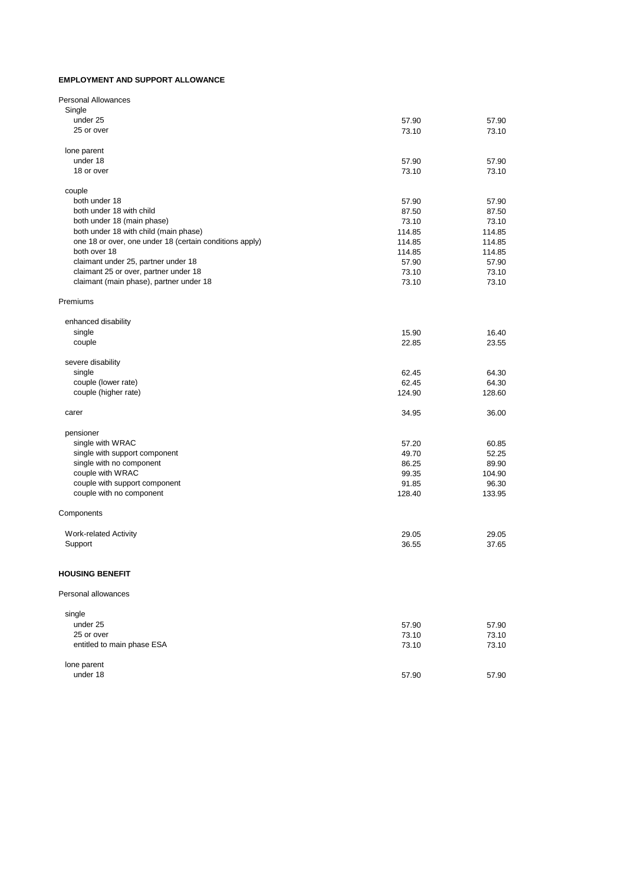#### **EMPLOYMENT AND SUPPORT ALLOWANCE**

| <b>Personal Allowances</b>                              |        |        |
|---------------------------------------------------------|--------|--------|
| Single                                                  |        |        |
| under 25                                                | 57.90  | 57.90  |
| 25 or over                                              | 73.10  | 73.10  |
| lone parent                                             |        |        |
| under 18                                                | 57.90  | 57.90  |
| 18 or over                                              | 73.10  | 73.10  |
| couple                                                  |        |        |
| both under 18                                           | 57.90  | 57.90  |
| both under 18 with child                                | 87.50  | 87.50  |
| both under 18 (main phase)                              | 73.10  | 73.10  |
| both under 18 with child (main phase)                   | 114.85 | 114.85 |
| one 18 or over, one under 18 (certain conditions apply) | 114.85 | 114.85 |
| both over 18                                            | 114.85 | 114.85 |
| claimant under 25, partner under 18                     | 57.90  | 57.90  |
| claimant 25 or over, partner under 18                   | 73.10  | 73.10  |
| claimant (main phase), partner under 18                 | 73.10  | 73.10  |
| Premiums                                                |        |        |
| enhanced disability                                     |        |        |
| single                                                  | 15.90  | 16.40  |
| couple                                                  | 22.85  | 23.55  |
| severe disability                                       |        |        |
| single                                                  | 62.45  | 64.30  |
| couple (lower rate)                                     | 62.45  | 64.30  |
| couple (higher rate)                                    | 124.90 | 128.60 |
| carer                                                   | 34.95  | 36.00  |
| pensioner                                               |        |        |
| single with WRAC                                        | 57.20  | 60.85  |
| single with support component                           | 49.70  | 52.25  |
| single with no component                                | 86.25  | 89.90  |
| couple with WRAC                                        | 99.35  | 104.90 |
| couple with support component                           | 91.85  | 96.30  |
| couple with no component                                | 128.40 | 133.95 |
| Components                                              |        |        |
| <b>Work-related Activity</b>                            | 29.05  | 29.05  |
| Support                                                 | 36.55  | 37.65  |
| <b>HOUSING BENEFIT</b>                                  |        |        |
| Personal allowances                                     |        |        |
| single                                                  |        |        |
| under 25                                                | 57.90  | 57.90  |
| 25 or over                                              | 73.10  | 73.10  |
| entitled to main phase ESA                              | 73.10  | 73.10  |

| lone parent |       |       |
|-------------|-------|-------|
| under 18    | 57.90 | 57.90 |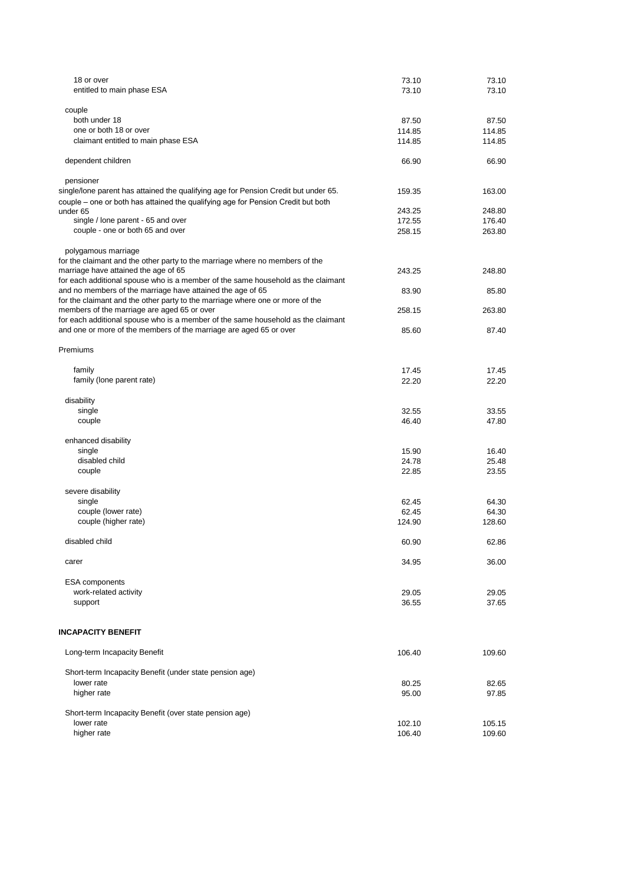| 18 or over                                                                          | 73.10           | 73.10           |
|-------------------------------------------------------------------------------------|-----------------|-----------------|
| entitled to main phase ESA                                                          | 73.10           | 73.10           |
|                                                                                     |                 |                 |
| couple<br>both under 18                                                             |                 |                 |
| one or both 18 or over                                                              | 87.50<br>114.85 | 87.50<br>114.85 |
| claimant entitled to main phase ESA                                                 | 114.85          | 114.85          |
|                                                                                     |                 |                 |
| dependent children                                                                  | 66.90           | 66.90           |
| pensioner                                                                           |                 |                 |
| single/lone parent has attained the qualifying age for Pension Credit but under 65. | 159.35          | 163.00          |
| couple – one or both has attained the qualifying age for Pension Credit but both    |                 |                 |
| under 65                                                                            | 243.25          | 248.80          |
| single / lone parent - 65 and over                                                  | 172.55          | 176.40          |
| couple - one or both 65 and over                                                    | 258.15          | 263.80          |
| polygamous marriage                                                                 |                 |                 |
| for the claimant and the other party to the marriage where no members of the        |                 |                 |
| marriage have attained the age of 65                                                | 243.25          | 248.80          |
| for each additional spouse who is a member of the same household as the claimant    |                 |                 |
| and no members of the marriage have attained the age of 65                          | 83.90           | 85.80           |
| for the claimant and the other party to the marriage where one or more of the       |                 |                 |
| members of the marriage are aged 65 or over                                         | 258.15          | 263.80          |
| for each additional spouse who is a member of the same household as the claimant    |                 |                 |
| and one or more of the members of the marriage are aged 65 or over                  | 85.60           | 87.40           |
| Premiums                                                                            |                 |                 |
| family                                                                              | 17.45           | 17.45           |
| family (lone parent rate)                                                           | 22.20           | 22.20           |
|                                                                                     |                 |                 |
| disability                                                                          |                 |                 |
| single                                                                              | 32.55           | 33.55           |
| couple                                                                              | 46.40           | 47.80           |
| enhanced disability                                                                 |                 |                 |
| single                                                                              | 15.90           | 16.40           |
| disabled child                                                                      | 24.78           | 25.48           |
| couple                                                                              | 22.85           | 23.55           |
|                                                                                     |                 |                 |
| severe disability                                                                   |                 |                 |
| single                                                                              | 62.45           | 64.30           |
| couple (lower rate)<br>couple (higher rate)                                         | 62.45<br>124.90 | 64.30<br>128.60 |
|                                                                                     |                 |                 |
| disabled child                                                                      | 60.90           | 62.86           |
|                                                                                     |                 |                 |
| carer                                                                               | 34.95           | 36.00           |
| <b>ESA</b> components                                                               |                 |                 |
| work-related activity                                                               | 29.05           | 29.05           |
| support                                                                             | 36.55           | 37.65           |
|                                                                                     |                 |                 |
| <b>INCAPACITY BENEFIT</b>                                                           |                 |                 |
| Long-term Incapacity Benefit                                                        | 106.40          | 109.60          |
| Short-term Incapacity Benefit (under state pension age)                             |                 |                 |
| lower rate                                                                          | 80.25           | 82.65           |

higher rate and the state of the state of the state of the state of the state of the state of the state of the state of the state of the state of the state of the state of the state of the state of the state of the state o

 Short-term Incapacity Benefit (over state pension age) lower rate 105.15 higher rate 109.60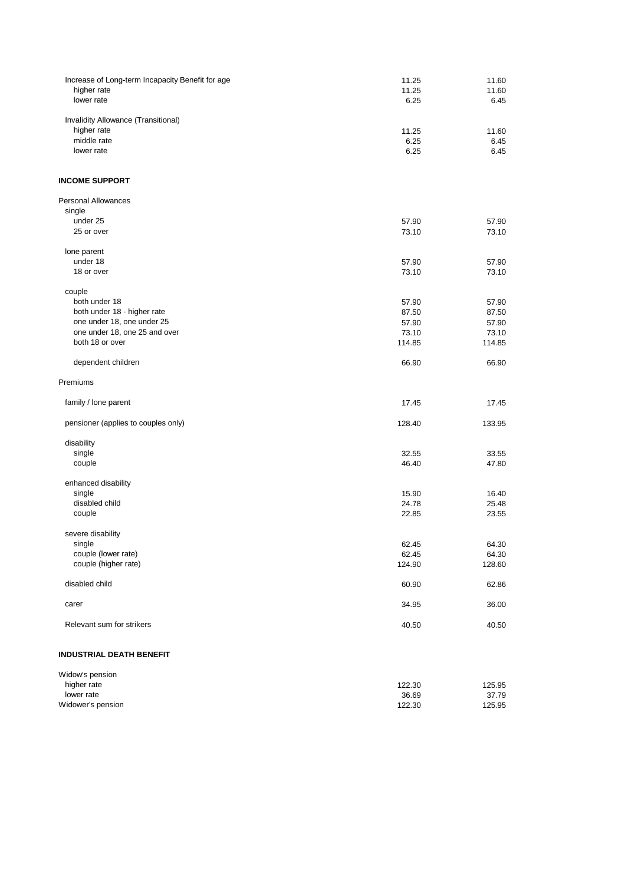| Increase of Long-term Incapacity Benefit for age<br>higher rate | 11.25<br>11.25 | 11.60<br>11.60 |
|-----------------------------------------------------------------|----------------|----------------|
| lower rate                                                      | 6.25           | 6.45           |
|                                                                 |                |                |
| Invalidity Allowance (Transitional)<br>higher rate              | 11.25          | 11.60          |
| middle rate                                                     | 6.25           | 6.45           |
| lower rate                                                      | 6.25           | 6.45           |
|                                                                 |                |                |
| <b>INCOME SUPPORT</b>                                           |                |                |
| <b>Personal Allowances</b>                                      |                |                |
| single                                                          |                |                |
| under 25<br>25 or over                                          | 57.90          | 57.90<br>73.10 |
|                                                                 | 73.10          |                |
| lone parent                                                     |                |                |
| under 18                                                        | 57.90          | 57.90          |
| 18 or over                                                      | 73.10          | 73.10          |
| couple                                                          |                |                |
| both under 18                                                   | 57.90          | 57.90          |
| both under 18 - higher rate                                     | 87.50          | 87.50          |
| one under 18, one under 25                                      | 57.90          | 57.90          |
| one under 18, one 25 and over                                   | 73.10          | 73.10          |
| both 18 or over                                                 | 114.85         | 114.85         |
| dependent children                                              | 66.90          | 66.90          |
| Premiums                                                        |                |                |
| family / lone parent                                            | 17.45          | 17.45          |
|                                                                 |                |                |
| pensioner (applies to couples only)                             | 128.40         | 133.95         |
| disability                                                      |                |                |
| single                                                          | 32.55          | 33.55          |
| couple                                                          | 46.40          | 47.80          |
| enhanced disability                                             |                |                |
| single                                                          | 15.90          | 16.40          |
| disabled child                                                  | 24.78          | 25.48          |
| couple                                                          | 22.85          | 23.55          |
| severe disability                                               |                |                |
| single                                                          | 62.45          | 64.30          |
| couple (lower rate)                                             | 62.45          | 64.30          |
| couple (higher rate)                                            | 124.90         | 128.60         |
| disabled child                                                  | 60.90          | 62.86          |
|                                                                 |                |                |
| carer                                                           | 34.95          | 36.00          |
| Relevant sum for strikers                                       | 40.50          | 40.50          |
|                                                                 |                |                |

# **INDUSTRIAL DEATH BENEFIT**

| Widow's pension |        |        |
|-----------------|--------|--------|
| higher rate     | 122.30 | 125.95 |
| lower rate      | 36.69  | 37.79  |

Widower's pension 125.95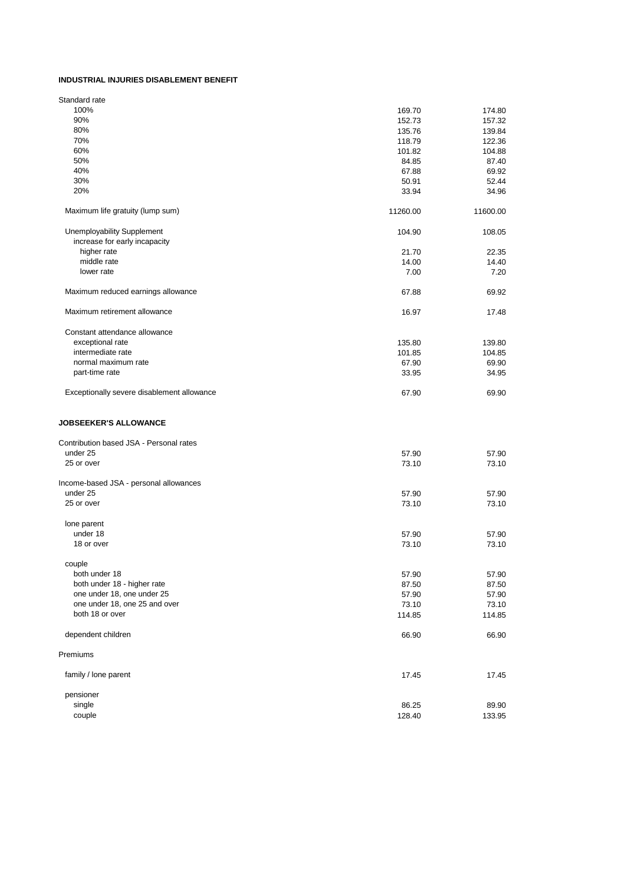#### **INDUSTRIAL INJURIES DISABLEMENT BENEFIT**

| Standard rate                              |          |          |
|--------------------------------------------|----------|----------|
| 100%                                       | 169.70   | 174.80   |
| 90%                                        | 152.73   | 157.32   |
| 80%                                        | 135.76   | 139.84   |
| 70%                                        | 118.79   | 122.36   |
| 60%                                        | 101.82   | 104.88   |
| 50%                                        | 84.85    | 87.40    |
| 40%                                        | 67.88    | 69.92    |
| 30%                                        | 50.91    | 52.44    |
| 20%                                        | 33.94    | 34.96    |
| Maximum life gratuity (lump sum)           | 11260.00 | 11600.00 |
| <b>Unemployability Supplement</b>          | 104.90   | 108.05   |
| increase for early incapacity              |          |          |
| higher rate                                | 21.70    | 22.35    |
| middle rate                                | 14.00    | 14.40    |
| lower rate                                 | 7.00     | 7.20     |
|                                            |          |          |
| Maximum reduced earnings allowance         | 67.88    | 69.92    |
| Maximum retirement allowance               | 16.97    | 17.48    |
| Constant attendance allowance              |          |          |
| exceptional rate                           | 135.80   | 139.80   |
| intermediate rate                          | 101.85   | 104.85   |
| normal maximum rate                        | 67.90    | 69.90    |
| part-time rate                             | 33.95    | 34.95    |
|                                            |          |          |
| Exceptionally severe disablement allowance | 67.90    | 69.90    |
| <b>JOBSEEKER'S ALLOWANCE</b>               |          |          |
| Contribution based JSA - Personal rates    |          |          |
| under 25                                   | 57.90    | 57.90    |
| 25 or over                                 | 73.10    | 73.10    |
| Income-based JSA - personal allowances     |          |          |
| under 25                                   | 57.90    | 57.90    |
| 25 or over                                 | 73.10    | 73.10    |
| lone parent                                |          |          |
| under 18                                   | 57.90    | 57.90    |
| 18 or over                                 | 73.10    | 73.10    |
|                                            |          |          |
| couple                                     |          |          |
| both under 18                              | 57.90    | 57.90    |
| both under 18 - higher rate                | 87.50    | 87.50    |
| one under 18, one under 25                 | 57.90    | 57.90    |
| one under 18, one 25 and over              | 73.10    | 73.10    |
| both 18 or over                            | 114.85   | 114.85   |
| dependent children                         | 66.90    | 66.90    |
| Premiums                                   |          |          |
| family / lone parent                       | 17.45    |          |
|                                            |          | 17.45    |

pensioner<br>single<br>couple single 86.25 89.90 couple 128.40 2012 133.95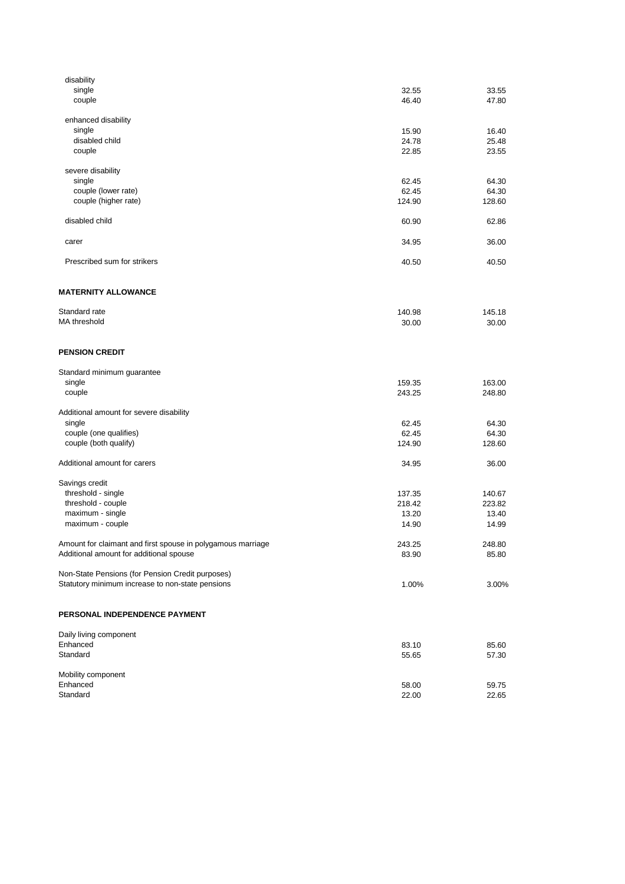| disability                                                  |        |        |
|-------------------------------------------------------------|--------|--------|
| single                                                      | 32.55  | 33.55  |
| couple                                                      | 46.40  | 47.80  |
| enhanced disability                                         |        |        |
| single                                                      | 15.90  | 16.40  |
| disabled child                                              | 24.78  | 25.48  |
| couple                                                      | 22.85  | 23.55  |
| severe disability                                           |        |        |
| single                                                      | 62.45  | 64.30  |
| couple (lower rate)                                         | 62.45  | 64.30  |
| couple (higher rate)                                        | 124.90 | 128.60 |
| disabled child                                              | 60.90  | 62.86  |
| carer                                                       | 34.95  | 36.00  |
| Prescribed sum for strikers                                 | 40.50  | 40.50  |
|                                                             |        |        |
| <b>MATERNITY ALLOWANCE</b>                                  |        |        |
| Standard rate                                               | 140.98 | 145.18 |
| MA threshold                                                | 30.00  | 30.00  |
| <b>PENSION CREDIT</b>                                       |        |        |
|                                                             |        |        |
| Standard minimum guarantee                                  |        |        |
| single                                                      | 159.35 | 163.00 |
| couple                                                      | 243.25 | 248.80 |
| Additional amount for severe disability                     |        |        |
| single                                                      | 62.45  | 64.30  |
| couple (one qualifies)                                      | 62.45  | 64.30  |
| couple (both qualify)                                       | 124.90 | 128.60 |
| Additional amount for carers                                | 34.95  | 36.00  |
| Savings credit                                              |        |        |
| threshold - single                                          | 137.35 | 140.67 |
| threshold - couple                                          | 218.42 | 223.82 |
| maximum - single                                            | 13.20  | 13.40  |
| maximum - couple                                            | 14.90  | 14.99  |
| Amount for claimant and first spouse in polygamous marriage | 243.25 | 248.80 |
| Additional amount for additional spouse                     | 83.90  | 85.80  |
| Non-State Pensions (for Pension Credit purposes)            |        |        |
| Statutory minimum increase to non-state pensions            | 1.00%  | 3.00%  |
|                                                             |        |        |
| PERSONAL INDEPENDENCE PAYMENT                               |        |        |
| Daily living component                                      |        |        |
| Enhanced                                                    | 83.10  | 85.60  |
| Standard                                                    | 55.65  | 57.30  |
| Mobility component                                          |        |        |
| Enhanced                                                    | 58.00  | 59.75  |

Standard 22.00 22.65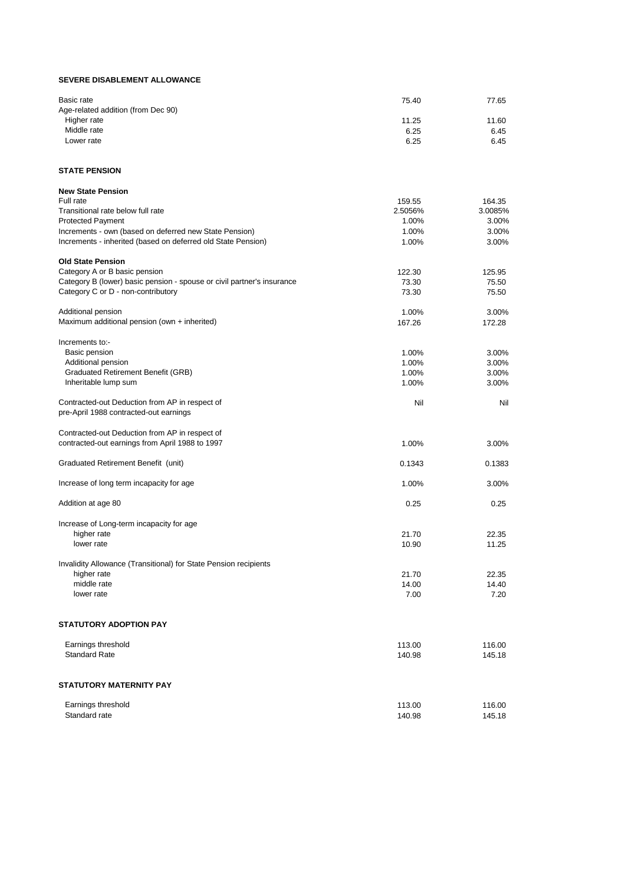#### **SEVERE DISABLEMENT ALLOWANCE**

| Basic rate                                                             | 75.40   | 77.65          |
|------------------------------------------------------------------------|---------|----------------|
| Age-related addition (from Dec 90)                                     |         |                |
| Higher rate                                                            | 11.25   | 11.60          |
| Middle rate                                                            | 6.25    | 6.45           |
| Lower rate                                                             | 6.25    | 6.45           |
| <b>STATE PENSION</b>                                                   |         |                |
| <b>New State Pension</b>                                               |         |                |
| Full rate                                                              | 159.55  | 164.35         |
| Transitional rate below full rate                                      | 2.5056% | 3.0085%        |
| <b>Protected Payment</b>                                               | 1.00%   | 3.00%          |
| Increments - own (based on deferred new State Pension)                 | 1.00%   | 3.00%          |
| Increments - inherited (based on deferred old State Pension)           | 1.00%   | 3.00%          |
| <b>Old State Pension</b>                                               |         |                |
| Category A or B basic pension                                          | 122.30  | 125.95         |
| Category B (lower) basic pension - spouse or civil partner's insurance | 73.30   | 75.50          |
| Category C or D - non-contributory                                     | 73.30   | 75.50          |
| Additional pension                                                     | 1.00%   | 3.00%          |
| Maximum additional pension (own + inherited)                           | 167.26  | 172.28         |
|                                                                        |         |                |
| Increments to:-<br>Basic pension                                       | 1.00%   |                |
| Additional pension                                                     | 1.00%   | 3.00%<br>3.00% |
| <b>Graduated Retirement Benefit (GRB)</b>                              | 1.00%   | 3.00%          |
| Inheritable lump sum                                                   | 1.00%   | 3.00%          |
|                                                                        |         |                |
| Contracted-out Deduction from AP in respect of                         | Nil     | Nil            |
| pre-April 1988 contracted-out earnings                                 |         |                |
| Contracted-out Deduction from AP in respect of                         |         |                |
| contracted-out earnings from April 1988 to 1997                        | 1.00%   | 3.00%          |
| <b>Graduated Retirement Benefit (unit)</b>                             | 0.1343  | 0.1383         |
|                                                                        |         |                |
| Increase of long term incapacity for age                               | 1.00%   | 3.00%          |
| Addition at age 80                                                     | 0.25    | 0.25           |
| Increase of Long-term incapacity for age                               |         |                |
| higher rate                                                            | 21.70   | 22.35          |
| lower rate                                                             | 10.90   | 11.25          |
| Invalidity Allowance (Transitional) for State Pension recipients       |         |                |
| higher rate                                                            | 21.70   | 22.35          |
| middle rate                                                            | 14.00   | 14.40          |
| lower rate                                                             | 7.00    | 7.20           |
|                                                                        |         |                |
| <b>STATUTORY ADOPTION PAY</b>                                          |         |                |

| Earnings threshold   | 113.00 | 116.00 |
|----------------------|--------|--------|
| <b>Standard Rate</b> | 140.98 | 145.18 |

### **STATUTORY MATERNITY PAY**

| $\overline{\phantom{a}}$<br>Earnings threshold | 113.00 | 116.00 |
|------------------------------------------------|--------|--------|
| Standard rate                                  | 140.98 | 145.18 |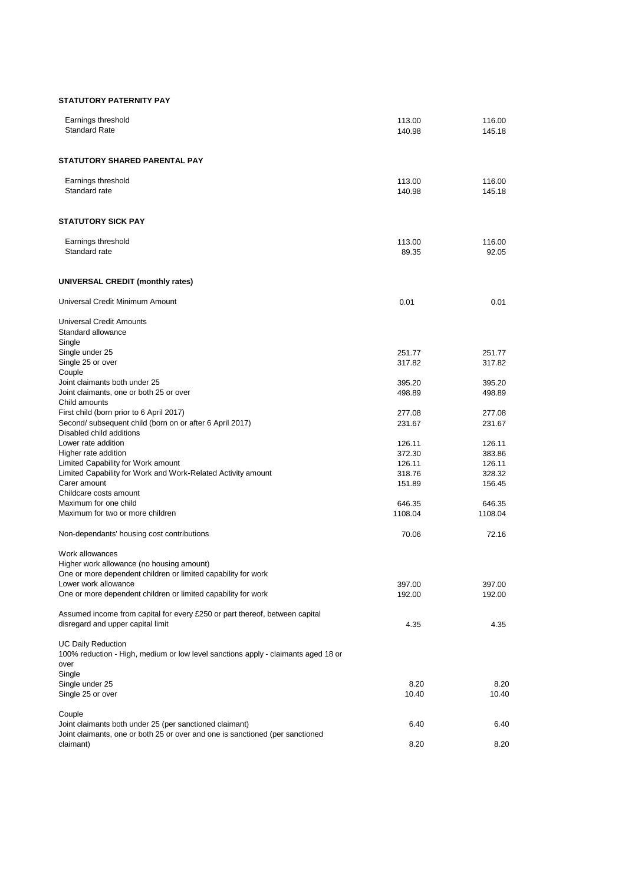#### **STATUTORY PATERNITY PAY**

| Earnings threshold<br><b>Standard Rate</b>                                            | 113.00<br>140.98 | 116.00<br>145.18 |
|---------------------------------------------------------------------------------------|------------------|------------------|
| <b>STATUTORY SHARED PARENTAL PAY</b>                                                  |                  |                  |
| Earnings threshold<br>Standard rate                                                   | 113.00<br>140.98 | 116.00<br>145.18 |
| <b>STATUTORY SICK PAY</b>                                                             |                  |                  |
| Earnings threshold<br>Standard rate                                                   | 113.00<br>89.35  | 116.00<br>92.05  |
| <b>UNIVERSAL CREDIT (monthly rates)</b>                                               |                  |                  |
| Universal Credit Minimum Amount                                                       | 0.01             | 0.01             |
| <b>Universal Credit Amounts</b><br>Standard allowance<br>Single                       |                  |                  |
| Single under 25                                                                       | 251.77           | 251.77           |
| Single 25 or over                                                                     | 317.82           | 317.82           |
| Couple                                                                                |                  |                  |
| Joint claimants both under 25                                                         | 395.20           | 395.20           |
| Joint claimants, one or both 25 or over<br>Child amounts                              | 498.89           | 498.89           |
| First child (born prior to 6 April 2017)                                              | 277.08           | 277.08           |
| Second/ subsequent child (born on or after 6 April 2017)                              | 231.67           | 231.67           |
| Disabled child additions                                                              |                  |                  |
| Lower rate addition                                                                   | 126.11           | 126.11           |
| Higher rate addition                                                                  | 372.30           | 383.86           |
| Limited Capability for Work amount                                                    | 126.11           | 126.11           |
| Limited Capability for Work and Work-Related Activity amount                          | 318.76           | 328.32           |
| Carer amount<br>Childcare costs amount                                                | 151.89           | 156.45           |
| Maximum for one child                                                                 | 646.35           | 646.35           |
| Maximum for two or more children                                                      | 1108.04          | 1108.04          |
| Non-dependants' housing cost contributions                                            | 70.06            | 72.16            |
|                                                                                       |                  |                  |
| Work allowances                                                                       |                  |                  |
| Higher work allowance (no housing amount)                                             |                  |                  |
| One or more dependent children or limited capability for work<br>Lower work allowance |                  |                  |
| One or more dependent children or limited capability for work                         | 397.00<br>192.00 | 397.00<br>192.00 |
|                                                                                       |                  |                  |
| Assumed income from capital for every £250 or part thereof, between capital           |                  |                  |
| disregard and upper capital limit                                                     | 4.35             | 4.35             |
| <b>UC Daily Reduction</b>                                                             |                  |                  |
| 100% reduction - High, medium or low level sanctions apply - claimants aged 18 or     |                  |                  |
| over                                                                                  |                  |                  |
| Single                                                                                |                  |                  |
| Single under 25                                                                       | 8.20             | 8.20             |
| Single 25 or over                                                                     | 10.40            | 10.40            |

# Couple

Joint claimants both under 25 (per sanctioned claimant) 6.40 6.40 Joint claimants, one or both 25 or over and one is sanctioned (per sanctioned claimant) 8.20 8.20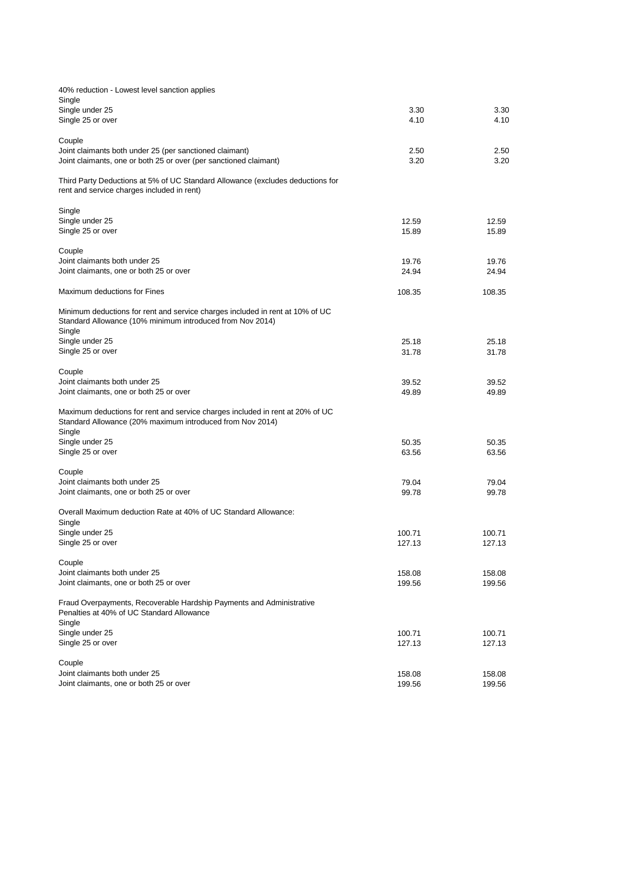| 40% reduction - Lowest level sanction applies                                                                                                        |                |                |
|------------------------------------------------------------------------------------------------------------------------------------------------------|----------------|----------------|
| Single                                                                                                                                               | 3.30           | 3.30           |
| Single under 25<br>Single 25 or over                                                                                                                 | 4.10           | 4.10           |
|                                                                                                                                                      |                |                |
| Couple                                                                                                                                               |                |                |
| Joint claimants both under 25 (per sanctioned claimant)                                                                                              | 2.50           | 2.50           |
| Joint claimants, one or both 25 or over (per sanctioned claimant)                                                                                    | 3.20           | 3.20           |
| Third Party Deductions at 5% of UC Standard Allowance (excludes deductions for<br>rent and service charges included in rent)                         |                |                |
| Single                                                                                                                                               |                |                |
| Single under 25                                                                                                                                      | 12.59          | 12.59          |
| Single 25 or over                                                                                                                                    | 15.89          | 15.89          |
|                                                                                                                                                      |                |                |
| Couple<br>Joint claimants both under 25                                                                                                              |                |                |
| Joint claimants, one or both 25 or over                                                                                                              | 19.76<br>24.94 | 19.76<br>24.94 |
|                                                                                                                                                      |                |                |
| Maximum deductions for Fines                                                                                                                         | 108.35         | 108.35         |
| Minimum deductions for rent and service charges included in rent at 10% of UC<br>Standard Allowance (10% minimum introduced from Nov 2014)<br>Single |                |                |
| Single under 25                                                                                                                                      | 25.18          | 25.18          |
| Single 25 or over                                                                                                                                    | 31.78          | 31.78          |
| Couple<br>Joint claimants both under 25                                                                                                              | 39.52          | 39.52          |
| Joint claimants, one or both 25 or over                                                                                                              | 49.89          | 49.89          |
| Maximum deductions for rent and service charges included in rent at 20% of UC<br>Standard Allowance (20% maximum introduced from Nov 2014)<br>Single |                |                |
| Single under 25                                                                                                                                      | 50.35          | 50.35          |
| Single 25 or over                                                                                                                                    | 63.56          | 63.56          |
| Couple                                                                                                                                               |                |                |
| Joint claimants both under 25                                                                                                                        | 79.04          | 79.04          |
| Joint claimants, one or both 25 or over                                                                                                              | 99.78          | 99.78          |
| Overall Maximum deduction Rate at 40% of UC Standard Allowance:                                                                                      |                |                |
| Single                                                                                                                                               |                |                |
| Single under 25                                                                                                                                      | 100.71         | 100.71         |
| Single 25 or over                                                                                                                                    | 127.13         | 127.13         |
|                                                                                                                                                      |                |                |
| Couple<br>Joint claimants both under 25                                                                                                              | 158.08         | 158.08         |
| Joint claimants, one or both 25 or over                                                                                                              | 199.56         | 199.56         |
|                                                                                                                                                      |                |                |
| Fraud Overpayments, Recoverable Hardship Payments and Administrative<br>Penalties at 40% of UC Standard Allowance<br>Single                          |                |                |
| Single under 25                                                                                                                                      | 100.71         | 100.71         |
| Single 25 or over                                                                                                                                    | 127.13         | 127.13         |
|                                                                                                                                                      |                |                |
| Couple<br>Joint claimants both under 25                                                                                                              | 158.08         | 158.08         |
| Joint claimants, one or both 25 or over                                                                                                              | 199.56         | 199.56         |